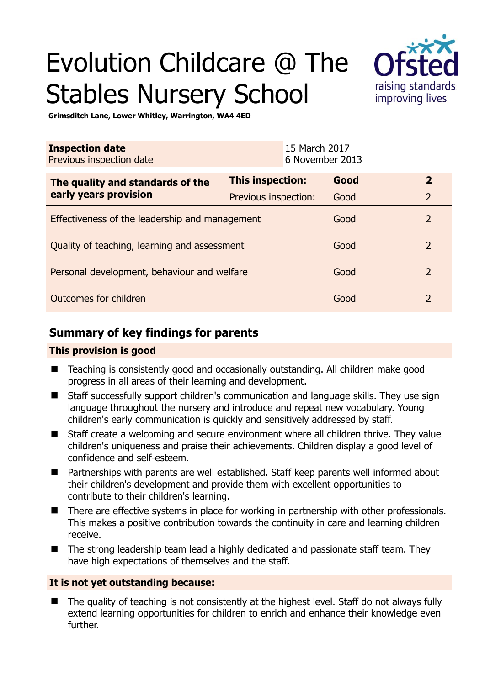# Evolution Childcare @ The Stables Nursery School



**Grimsditch Lane, Lower Whitley, Warrington, WA4 4ED** 

| <b>Inspection date</b><br>Previous inspection date |                         | 15 March 2017<br>6 November 2013 |      |                |
|----------------------------------------------------|-------------------------|----------------------------------|------|----------------|
| The quality and standards of the                   | <b>This inspection:</b> |                                  | Good | $\overline{2}$ |
| early years provision                              | Previous inspection:    | Good                             |      | $\overline{2}$ |
| Effectiveness of the leadership and management     |                         |                                  | Good | $\overline{2}$ |
| Quality of teaching, learning and assessment       |                         |                                  | Good | $\overline{2}$ |
| Personal development, behaviour and welfare        |                         |                                  | Good | $\overline{2}$ |
| Outcomes for children                              |                         |                                  | Good | $\mathcal{P}$  |

# **Summary of key findings for parents**

### **This provision is good**

- Teaching is consistently good and occasionally outstanding. All children make good progress in all areas of their learning and development.
- Staff successfully support children's communication and language skills. They use sign language throughout the nursery and introduce and repeat new vocabulary. Young children's early communication is quickly and sensitively addressed by staff.
- Staff create a welcoming and secure environment where all children thrive. They value children's uniqueness and praise their achievements. Children display a good level of confidence and self-esteem.
- Partnerships with parents are well established. Staff keep parents well informed about their children's development and provide them with excellent opportunities to contribute to their children's learning.
- There are effective systems in place for working in partnership with other professionals. This makes a positive contribution towards the continuity in care and learning children receive.
- The strong leadership team lead a highly dedicated and passionate staff team. They have high expectations of themselves and the staff.

### **It is not yet outstanding because:**

■ The quality of teaching is not consistently at the highest level. Staff do not always fully extend learning opportunities for children to enrich and enhance their knowledge even further.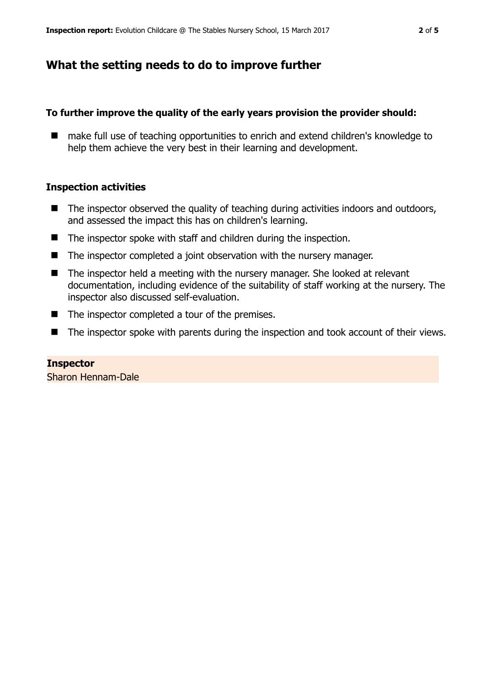# **What the setting needs to do to improve further**

## **To further improve the quality of the early years provision the provider should:**

■ make full use of teaching opportunities to enrich and extend children's knowledge to help them achieve the very best in their learning and development.

## **Inspection activities**

- $\blacksquare$  The inspector observed the quality of teaching during activities indoors and outdoors, and assessed the impact this has on children's learning.
- The inspector spoke with staff and children during the inspection.
- The inspector completed a joint observation with the nursery manager.
- The inspector held a meeting with the nursery manager. She looked at relevant documentation, including evidence of the suitability of staff working at the nursery. The inspector also discussed self-evaluation.
- The inspector completed a tour of the premises.
- The inspector spoke with parents during the inspection and took account of their views.

**Inspector**  Sharon Hennam-Dale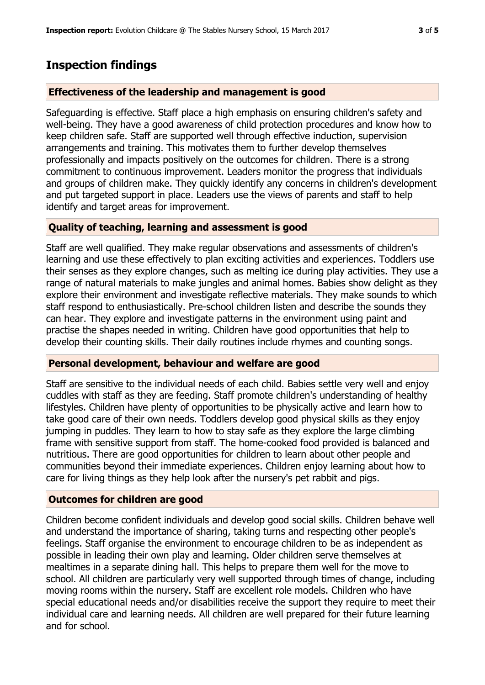# **Inspection findings**

### **Effectiveness of the leadership and management is good**

Safeguarding is effective. Staff place a high emphasis on ensuring children's safety and well-being. They have a good awareness of child protection procedures and know how to keep children safe. Staff are supported well through effective induction, supervision arrangements and training. This motivates them to further develop themselves professionally and impacts positively on the outcomes for children. There is a strong commitment to continuous improvement. Leaders monitor the progress that individuals and groups of children make. They quickly identify any concerns in children's development and put targeted support in place. Leaders use the views of parents and staff to help identify and target areas for improvement.

## **Quality of teaching, learning and assessment is good**

Staff are well qualified. They make regular observations and assessments of children's learning and use these effectively to plan exciting activities and experiences. Toddlers use their senses as they explore changes, such as melting ice during play activities. They use a range of natural materials to make jungles and animal homes. Babies show delight as they explore their environment and investigate reflective materials. They make sounds to which staff respond to enthusiastically. Pre-school children listen and describe the sounds they can hear. They explore and investigate patterns in the environment using paint and practise the shapes needed in writing. Children have good opportunities that help to develop their counting skills. Their daily routines include rhymes and counting songs.

#### **Personal development, behaviour and welfare are good**

Staff are sensitive to the individual needs of each child. Babies settle very well and enjoy cuddles with staff as they are feeding. Staff promote children's understanding of healthy lifestyles. Children have plenty of opportunities to be physically active and learn how to take good care of their own needs. Toddlers develop good physical skills as they enjoy jumping in puddles. They learn to how to stay safe as they explore the large climbing frame with sensitive support from staff. The home-cooked food provided is balanced and nutritious. There are good opportunities for children to learn about other people and communities beyond their immediate experiences. Children enjoy learning about how to care for living things as they help look after the nursery's pet rabbit and pigs.

### **Outcomes for children are good**

Children become confident individuals and develop good social skills. Children behave well and understand the importance of sharing, taking turns and respecting other people's feelings. Staff organise the environment to encourage children to be as independent as possible in leading their own play and learning. Older children serve themselves at mealtimes in a separate dining hall. This helps to prepare them well for the move to school. All children are particularly very well supported through times of change, including moving rooms within the nursery. Staff are excellent role models. Children who have special educational needs and/or disabilities receive the support they require to meet their individual care and learning needs. All children are well prepared for their future learning and for school.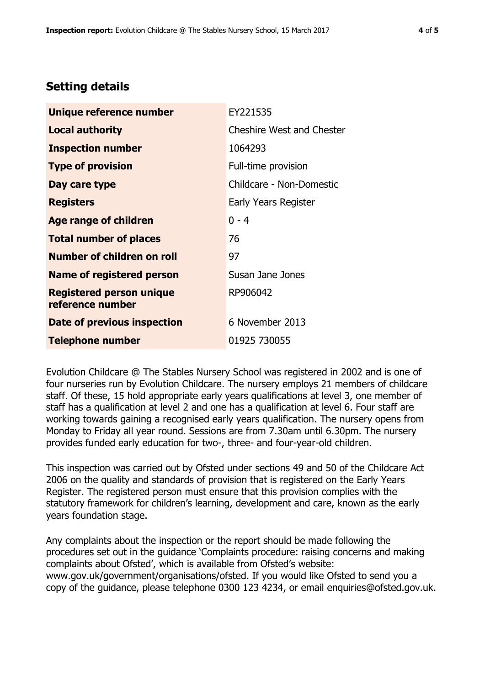# **Setting details**

| Unique reference number                             | EY221535                         |  |  |
|-----------------------------------------------------|----------------------------------|--|--|
| <b>Local authority</b>                              | <b>Cheshire West and Chester</b> |  |  |
| <b>Inspection number</b>                            | 1064293                          |  |  |
| <b>Type of provision</b>                            | Full-time provision              |  |  |
| Day care type                                       | Childcare - Non-Domestic         |  |  |
| <b>Registers</b>                                    | Early Years Register             |  |  |
| <b>Age range of children</b>                        | $0 - 4$                          |  |  |
| <b>Total number of places</b>                       | 76                               |  |  |
| <b>Number of children on roll</b>                   | 97                               |  |  |
| Name of registered person                           | Susan Jane Jones                 |  |  |
| <b>Registered person unique</b><br>reference number | RP906042                         |  |  |
| Date of previous inspection                         | 6 November 2013                  |  |  |
| <b>Telephone number</b>                             | 01925 730055                     |  |  |

Evolution Childcare @ The Stables Nursery School was registered in 2002 and is one of four nurseries run by Evolution Childcare. The nursery employs 21 members of childcare staff. Of these, 15 hold appropriate early years qualifications at level 3, one member of staff has a qualification at level 2 and one has a qualification at level 6. Four staff are working towards gaining a recognised early years qualification. The nursery opens from Monday to Friday all year round. Sessions are from 7.30am until 6.30pm. The nursery provides funded early education for two-, three- and four-year-old children.

This inspection was carried out by Ofsted under sections 49 and 50 of the Childcare Act 2006 on the quality and standards of provision that is registered on the Early Years Register. The registered person must ensure that this provision complies with the statutory framework for children's learning, development and care, known as the early years foundation stage.

Any complaints about the inspection or the report should be made following the procedures set out in the guidance 'Complaints procedure: raising concerns and making complaints about Ofsted', which is available from Ofsted's website: www.gov.uk/government/organisations/ofsted. If you would like Ofsted to send you a copy of the guidance, please telephone 0300 123 4234, or email enquiries@ofsted.gov.uk.